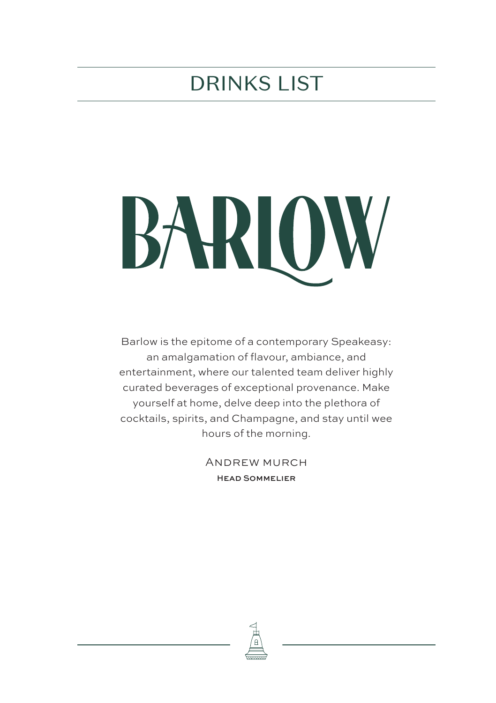### DRINKS LIST



Barlow is the epitome of a contemporary Speakeasy: an amalgamation of flavour, ambiance, and entertainment, where our talented team deliver highly curated beverages of exceptional provenance. Make yourself at home, delve deep into the plethora of cocktails, spirits, and Champagne, and stay until wee hours of the morning.

> Andrew murch Head Sommelier

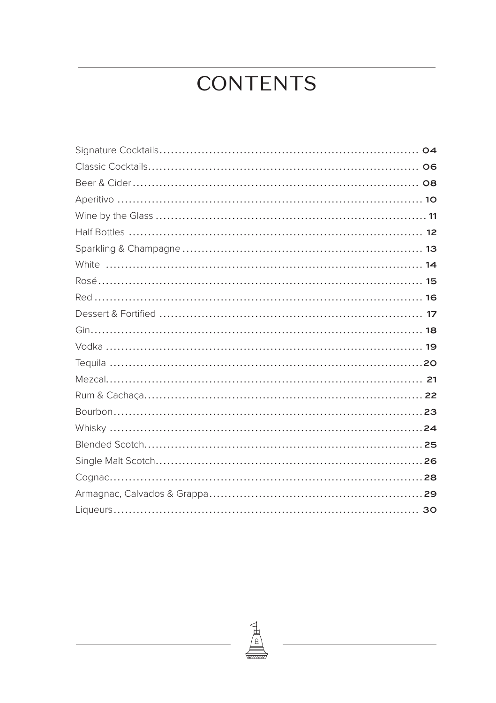# **CONTENTS**

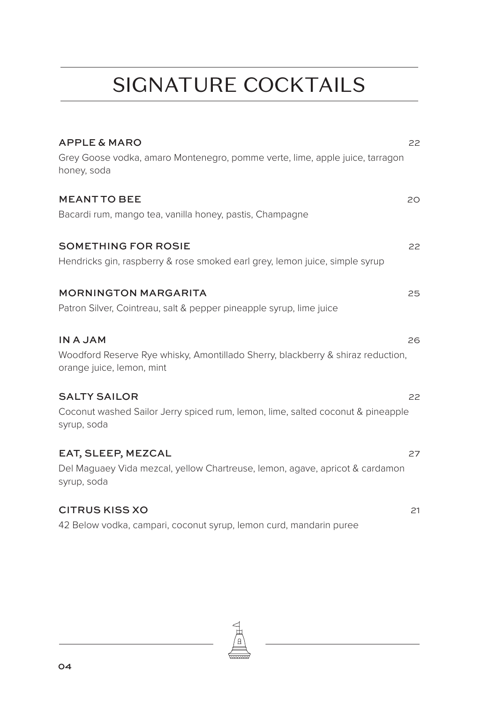### SIGNATURE COCKTAILS

| <b>APPLE &amp; MARO</b>                                                                                      | 22 |
|--------------------------------------------------------------------------------------------------------------|----|
| Grey Goose vodka, amaro Montenegro, pomme verte, lime, apple juice, tarragon<br>honey, soda                  |    |
| <b>MEANT TO BEE</b>                                                                                          | 20 |
| Bacardi rum, mango tea, vanilla honey, pastis, Champagne                                                     |    |
| <b>SOMETHING FOR ROSIE</b>                                                                                   | 22 |
| Hendricks gin, raspberry & rose smoked earl grey, lemon juice, simple syrup                                  |    |
| <b>MORNINGTON MARGARITA</b>                                                                                  | 25 |
| Patron Silver, Cointreau, salt & pepper pineapple syrup, lime juice                                          |    |
| <b>IN A JAM</b>                                                                                              | 26 |
| Woodford Reserve Rye whisky, Amontillado Sherry, blackberry & shiraz reduction,<br>orange juice, lemon, mint |    |
| <b>SALTY SAILOR</b>                                                                                          | 22 |
| Coconut washed Sailor Jerry spiced rum, lemon, lime, salted coconut & pineapple<br>syrup, soda               |    |
| EAT, SLEEP, MEZCAL                                                                                           | 27 |
| Del Maguaey Vida mezcal, yellow Chartreuse, lemon, agave, apricot & cardamon<br>syrup, soda                  |    |
| <b>CITRUS KISS XO</b>                                                                                        | 21 |
| 42 Below vodka, campari, coconut syrup, lemon curd, mandarin puree                                           |    |

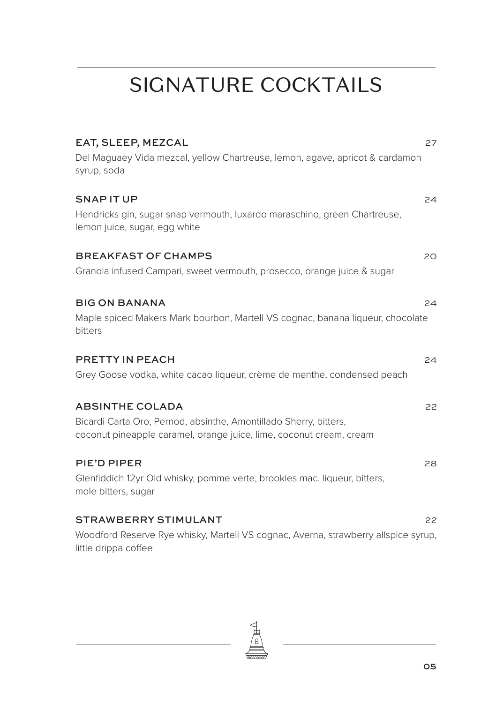# SIGNATURE COCKTAILS

| EAT, SLEEP, MEZCAL                                                                                                                       | 27 |
|------------------------------------------------------------------------------------------------------------------------------------------|----|
| Del Maguaey Vida mezcal, yellow Chartreuse, lemon, agave, apricot & cardamon<br>syrup, soda                                              |    |
| SNAP IT UP                                                                                                                               | 24 |
| Hendricks gin, sugar snap vermouth, luxardo maraschino, green Chartreuse,<br>lemon juice, sugar, egg white                               |    |
| <b>BREAKFAST OF CHAMPS</b>                                                                                                               | 20 |
| Granola infused Campari, sweet vermouth, prosecco, orange juice & sugar                                                                  |    |
| <b>BIG ON BANANA</b>                                                                                                                     | 24 |
| Maple spiced Makers Mark bourbon, Martell VS cognac, banana liqueur, chocolate<br>bitters                                                |    |
| PRETTY IN PEACH                                                                                                                          | 24 |
| Grey Goose vodka, white cacao liqueur, crème de menthe, condensed peach                                                                  |    |
| <b>ABSINTHE COLADA</b>                                                                                                                   | 22 |
| Bicardi Carta Oro, Pernod, absinthe, Amontillado Sherry, bitters,<br>coconut pineapple caramel, orange juice, lime, coconut cream, cream |    |
| PIE'D PIPER                                                                                                                              | 28 |
| Glenfiddich 12yr Old whisky, pomme verte, brookies mac. liqueur, bitters,<br>mole bitters, sugar                                         |    |
| <b>STRAWBERRY STIMULANT</b>                                                                                                              | 22 |
| Woodford Reserve Rye whisky, Martell VS cognac, Averna, strawberry allspice syrup,<br>little drippa coffee                               |    |

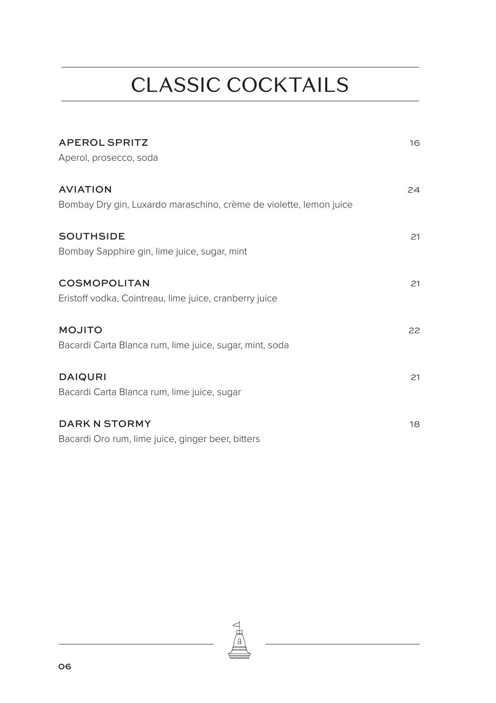# CLASSIC COCKTAILS

| <b>APEROL SPRITZ</b>                                               | 16 |
|--------------------------------------------------------------------|----|
| Aperol, prosecco, soda                                             |    |
| <b>AVIATION</b>                                                    | 24 |
| Bombay Dry gin, Luxardo maraschino, crème de violette, lemon juice |    |
| <b>SOUTHSIDE</b>                                                   | 21 |
| Bombay Sapphire gin, lime juice, sugar, mint                       |    |
| <b>COSMOPOLITAN</b>                                                | 21 |
| Eristoff vodka, Cointreau, lime juice, cranberry juice             |    |
| <b>MOJITO</b>                                                      | 22 |
| Bacardi Carta Blanca rum, lime juice, sugar, mint, soda            |    |
| <b>DAIQURI</b>                                                     | 21 |
| Bacardi Carta Blanca rum, lime juice, sugar                        |    |
| <b>DARK N STORMY</b>                                               | 18 |
| Bacardi Oro rum, lime juice, ginger beer, bitters                  |    |

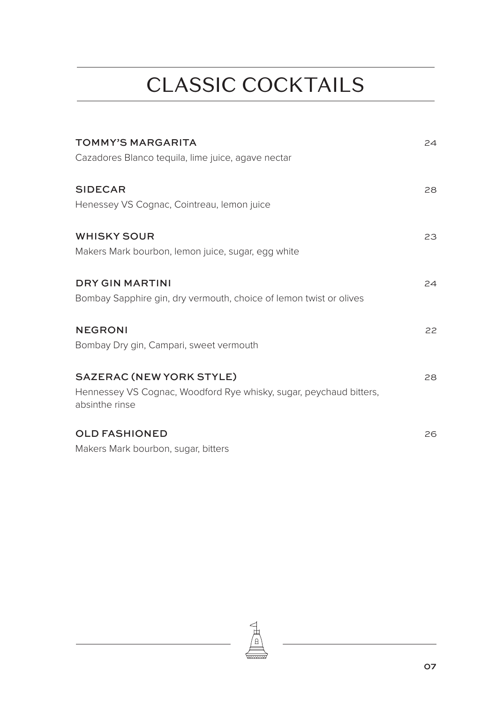# CLASSIC COCKTAILS

| <b>TOMMY'S MARGARITA</b>                                                                                                | 24 |
|-------------------------------------------------------------------------------------------------------------------------|----|
| Cazadores Blanco tequila, lime juice, agave nectar                                                                      |    |
| <b>SIDECAR</b><br>Henessey VS Cognac, Cointreau, lemon juice                                                            | 28 |
|                                                                                                                         |    |
| <b>WHISKY SOUR</b><br>Makers Mark bourbon, lemon juice, sugar, egg white                                                | 23 |
| <b>DRY GIN MARTINI</b><br>Bombay Sapphire gin, dry vermouth, choice of lemon twist or olives                            | 24 |
| <b>NEGRONI</b><br>Bombay Dry gin, Campari, sweet vermouth                                                               | 22 |
| <b>SAZERAC (NEW YORK STYLE)</b><br>Hennessey VS Cognac, Woodford Rye whisky, sugar, peychaud bitters,<br>absinthe rinse | 28 |
| <b>OLD FASHIONED</b><br>Makers Mark bourbon, sugar, bitters                                                             | 26 |

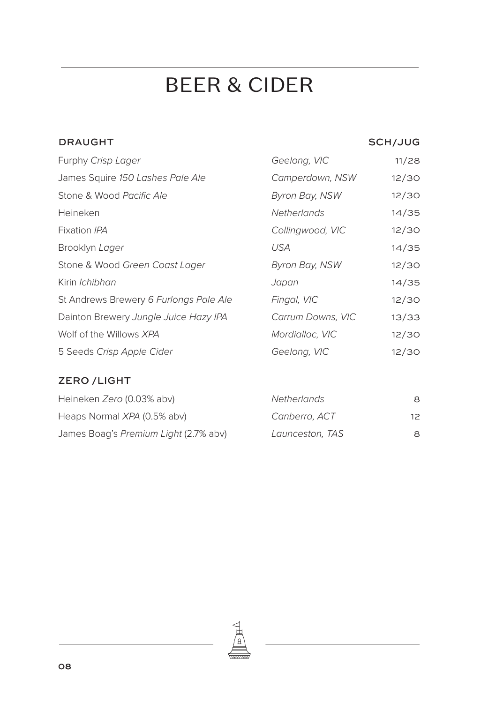### BEER & CIDER

#### DRAUGHT SCH/JUG

| Furphy Crisp Lager                     | Geelong, VIC          | 11/28 |
|----------------------------------------|-----------------------|-------|
| James Squire 150 Lashes Pale Ale       | Camperdown, NSW       | 12/30 |
| Stone & Wood Pacific Ale               | Byron Bay, NSW        | 12/30 |
| Heineken                               | <b>Netherlands</b>    | 14/35 |
| Fixation IPA                           | Collingwood, VIC      | 12/30 |
| Brooklyn Lager                         | <b>USA</b>            | 14/35 |
| Stone & Wood Green Coast Lager         | <b>Byron Bay, NSW</b> | 12/30 |
| Kirin <i>Ichibhan</i>                  | Japan                 | 14/35 |
| St Andrews Brewery 6 Furlongs Pale Ale | Fingal, VIC           | 12/30 |
| Dainton Brewery Jungle Juice Hazy IPA  | Carrum Downs, VIC     | 13/33 |
| Wolf of the Willows XPA                | Mordialloc, VIC       | 12/30 |
| 5 Seeds Crisp Apple Cider              | Geelong, VIC          | 12/30 |

#### ZERO /LIGHT

| Heineken Zero (0.03% abv)             | <b>Netherlands</b> | 8            |
|---------------------------------------|--------------------|--------------|
| Heaps Normal XPA (0.5% abv)           | Canberra, ACT      | $12^{\circ}$ |
| James Boag's Premium Light (2.7% abv) | Launceston, TAS    | 8            |

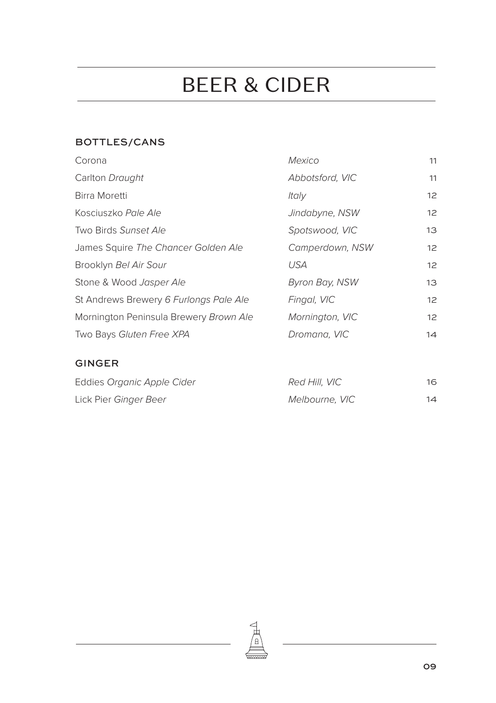# BEER & CIDER

#### BOTTLES/CANS

| Corona                                 | Mexico                | 11 |
|----------------------------------------|-----------------------|----|
| Carlton Draught                        | Abbotsford, VIC       | 11 |
| Birra Moretti                          | Italy                 | 12 |
| Kosciuszko Pale Ale                    | Jindabyne, NSW        | 12 |
| Two Birds Sunset Ale                   | Spotswood, VIC        | 13 |
| James Squire The Chancer Golden Ale    | Camperdown, NSW       | 12 |
| Brooklyn Bel Air Sour                  | <b>USA</b>            | 12 |
| Stone & Wood Jasper Ale                | <b>Byron Bay, NSW</b> | 13 |
| St Andrews Brewery 6 Furlongs Pale Ale | Fingal, VIC           | 12 |
| Mornington Peninsula Brewery Brown Ale | Mornington, VIC       | 12 |
| Two Bays Gluten Free XPA               | Dromana, VIC          | 14 |

#### GINGER

| Eddies Organic Apple Cider | Red Hill, VIC  | 16 |
|----------------------------|----------------|----|
| Lick Pier Ginger Beer      | Melbourne, VIC | 14 |

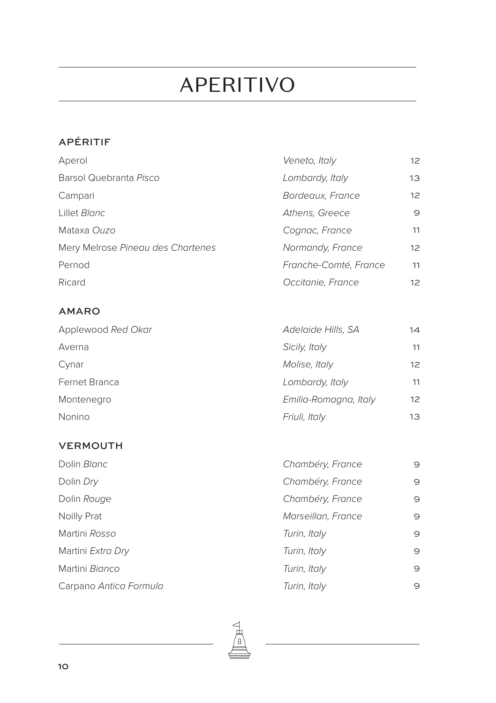### APERITIVO

### APÉRITIF

| Aperol                            | Veneto, Italy         | 12 |
|-----------------------------------|-----------------------|----|
| Barsol Quebranta Pisco            | Lombardy, Italy       | 13 |
| Campari                           | Bordeaux, France      | 12 |
| Lillet Blanc                      | Athens, Greece        | 9  |
| Mataxa Ouzo                       | Cognac, France        | 11 |
| Mery Melrose Pineau des Chartenes | Normandy, France      | 12 |
| Pernod                            | Franche-Comté, France | 11 |
| Ricard                            | Occitanie, France     | 12 |

#### AMARO

| Applewood Red Okar | Adelaide Hills, SA    | 14 |
|--------------------|-----------------------|----|
| Averna             | Sicily, Italy         | 11 |
| Cynar              | Molise, Italy         | 12 |
| Fernet Branca      | Lombardy, Italy       | 11 |
| Montenegro         | Emilia-Romagna, Italy | 12 |
| Nonino             | Friuli, Italy         | 13 |

#### VERMOUTH

| Dolin Blanc            | Chambéry, France   | $\Theta$ |
|------------------------|--------------------|----------|
| Dolin Dry              | Chambéry, France   | 9        |
| Dolin Rouge            | Chambéry, France   | 9        |
| Noilly Prat            | Marseillan, France | 9        |
| Martini Rosso          | Turin, Italy       | 9        |
| Martini Extra Dry      | Turin, Italy       | 9        |
| Martini Bianco         | Turin, Italy       | 9        |
| Carpano Antica Formula | Turin, Italy       | 9        |

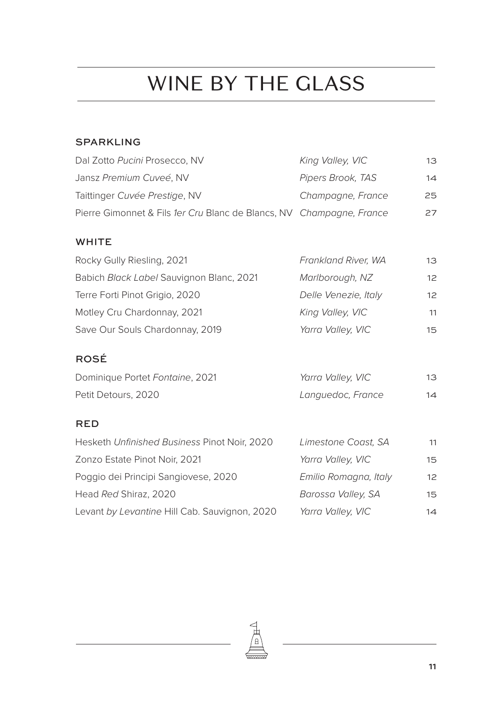# WINE BY THE GLASS

#### SPARKLING

| Dal Zotto Pucini Prosecco, NV                                        | King Valley, VIC  | 13. |
|----------------------------------------------------------------------|-------------------|-----|
| Jansz Premium Cuveé, NV                                              | Pipers Brook, TAS | 14  |
| Taittinger Cuvée Prestige, NV                                        | Champagne, France | 25  |
| Pierre Gimonnet & Fils 1er Cru Blanc de Blancs, NV Champagne, France |                   | 27  |
|                                                                      |                   |     |

#### WHITE

| Rocky Gully Riesling, 2021               | Frankland River, WA  | 13 |
|------------------------------------------|----------------------|----|
| Babich Black Label Sauvignon Blanc, 2021 | Marlborough, NZ      | 12 |
| Terre Forti Pinot Grigio, 2020           | Delle Venezie, Italy | 12 |
| Motley Cru Chardonnay, 2021              | King Valley, VIC     | 11 |
| Save Our Souls Chardonnay, 2019          | Yarra Valley, VIC    | 15 |

#### ROSÉ

| Dominique Portet Fontaine, 2021 | Yarra Valley, VIC | 13 |
|---------------------------------|-------------------|----|
| Petit Detours, 2020             | Languedoc, France | 14 |

#### RED

| Hesketh Unfinished Business Pinot Noir, 2020  | Limestone Coast, SA   | 11 |
|-----------------------------------------------|-----------------------|----|
| Zonzo Estate Pinot Noir, 2021                 | Yarra Valley, VIC     | 15 |
| Poggio dei Principi Sangiovese, 2020          | Emilio Romagna, Italy | 12 |
| Head Red Shiraz, 2020                         | Barossa Valley, SA    | 15 |
| Levant by Levantine Hill Cab. Sauvignon, 2020 | Yarra Valley, VIC     | 14 |

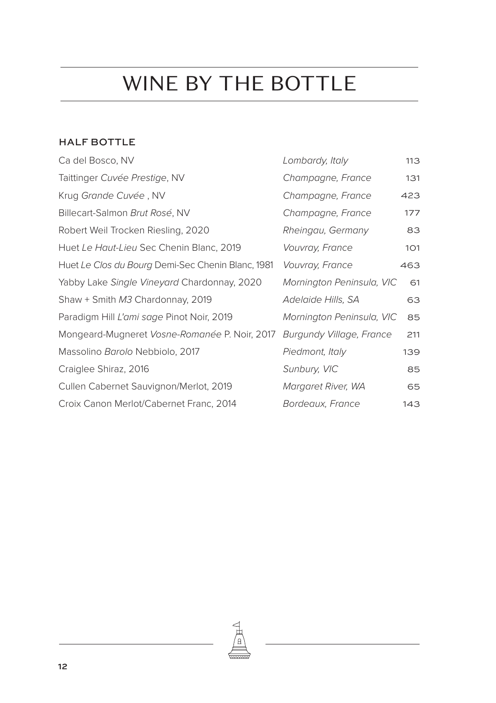#### HALF BOTTLE

| Ca del Bosco, NV                                  | Lombardy, Italy           | 113 |
|---------------------------------------------------|---------------------------|-----|
| Taittinger Cuvée Prestige, NV                     | Champagne, France         | 131 |
| Krug Grande Cuvée, NV                             | Champagne, France         | 423 |
| Billecart-Salmon Brut Rosé, NV                    | Champagne, France         | 177 |
| Robert Weil Trocken Riesling, 2020                | Rheingau, Germany         | 83  |
| Huet Le Haut-Lieu Sec Chenin Blanc, 2019          | Vouvray, France           | 101 |
| Huet Le Clos du Bourg Demi-Sec Chenin Blanc, 1981 | Vouvray, France           | 463 |
| Yabby Lake Single Vineyard Chardonnay, 2020       | Mornington Peninsula, VIC | 61  |
| Shaw + Smith M3 Chardonnay, 2019                  | Adelaide Hills, SA        | 63  |
| Paradigm Hill L'ami sage Pinot Noir, 2019         | Mornington Peninsula, VIC | 85  |
| Mongeard-Mugneret Vosne-Romanée P. Noir, 2017     | Burgundy Village, France  | 211 |
| Massolino Barolo Nebbiolo, 2017                   | Piedmont, Italy           | 139 |
| Craiglee Shiraz, 2016                             | Sunbury, VIC              | 85  |
| Cullen Cabernet Sauvignon/Merlot, 2019            | Margaret River, WA        | 65  |
| Croix Canon Merlot/Cabernet Franc, 2014           | Bordeaux, France          | 143 |

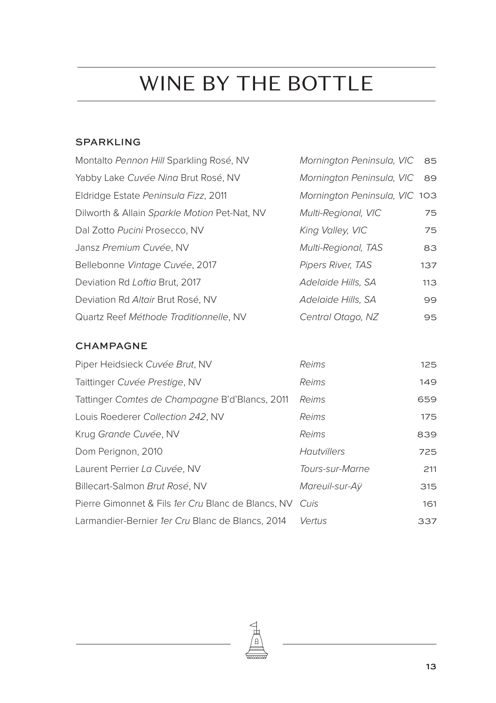#### SPARKLING

| Montalto Pennon Hill Sparkling Rosé, NV      | Mornington Peninsula, VIC 85  |      |
|----------------------------------------------|-------------------------------|------|
| Yabby Lake Cuvée Ning Brut Rosé, NV          | Mornington Peninsula, VIC     | - 89 |
| Eldridge Estate Peninsula Fizz, 2011         | Mornington Peninsula, VIC 103 |      |
| Dilworth & Allain Sparkle Motion Pet-Nat, NV | <b>Multi-Regional, VIC</b>    | 75   |
| Dal Zotto Pucini Prosecco, NV                | King Valley, VIC              | 75   |
| Jansz Premium Cuvée, NV                      | <b>Multi-Regional, TAS</b>    | 83   |
| Bellebonne Vintage Cuvée, 2017               | Pipers River, TAS             | 137  |
| Deviation Rd Loftia Brut, 2017               | Adelaide Hills, SA            | 113  |
| Deviation Rd Altair Brut Rosé, NV            | Adelaide Hills, SA            | 99   |
| Quartz Reef Méthode Traditionnelle, NV       | Central Otago, NZ             | 95   |

#### CHAMPAGNE

| Piper Heidsieck Cuvée Brut, NV                     | Reims           | 125 |
|----------------------------------------------------|-----------------|-----|
| Taittinger Cuvée Prestige, NV                      | Reims           | 149 |
| Tattinger Comtes de Champagne B'd'Blancs, 2011     | Reims           | 659 |
| Louis Roederer Collection 242, NV                  | Reims           | 175 |
| Krug Grande Cuvée, NV                              | Reims           | 839 |
| Dom Perignon, 2010                                 | Hautvillers     | 725 |
| Laurent Perrier La Cuvée, NV                       | Tours-sur-Marne | 211 |
| Billecart-Salmon Brut Rosé, NV                     | Mareuil-sur-Aÿ  | 315 |
| Pierre Gimonnet & Fils 1er Cru Blanc de Blancs, NV | Cuis            | 161 |
| Larmandier-Bernier 1er Cru Blanc de Blancs, 2014   | Vertus          | 337 |

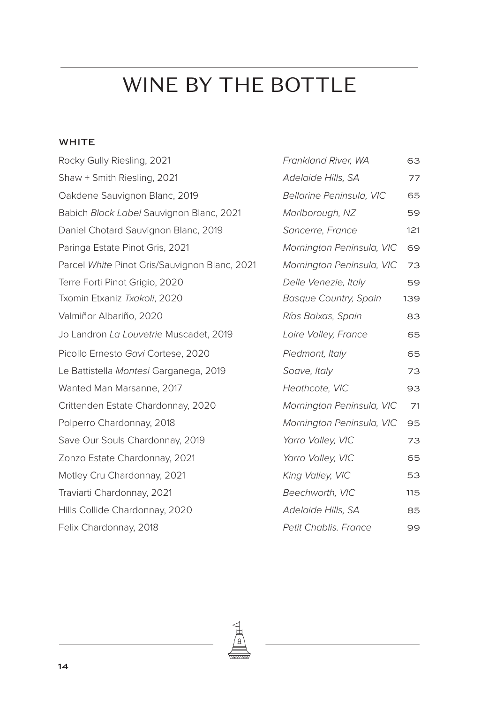#### WHITE

| Rocky Gully Riesling, 2021                    | Frankland River, WA          | 63  |
|-----------------------------------------------|------------------------------|-----|
| Shaw + Smith Riesling, 2021                   | Adelaide Hills, SA           | 77  |
| Oakdene Sauvignon Blanc, 2019                 | Bellarine Peninsula, VIC     | 65  |
| Babich Black Label Sauvignon Blanc, 2021      | Marlborough, NZ              | 59  |
| Daniel Chotard Sauvignon Blanc, 2019          | Sancerre, France             | 121 |
| Paringa Estate Pinot Gris, 2021               | Mornington Peninsula, VIC    | 69  |
| Parcel White Pinot Gris/Sauvignon Blanc, 2021 | Mornington Peninsula, VIC    | 73  |
| Terre Forti Pinot Grigio, 2020                | Delle Venezie, Italy         | 59  |
| Txomin Etxaniz Txakoli, 2020                  | <b>Basque Country, Spain</b> | 139 |
| Valmiñor Albariño, 2020                       | Rías Baixas, Spain           | 83  |
| Jo Landron La Louvetrie Muscadet, 2019        | Loire Valley, France         | 65  |
| Picollo Ernesto Gavi Cortese, 2020            | Piedmont, Italy              | 65  |
| Le Battistella Montesi Garganega, 2019        | Soave, Italy                 | 73  |
| Wanted Man Marsanne, 2017                     | Heathcote, VIC               | 93  |
| Crittenden Estate Chardonnay, 2020            | Mornington Peninsula, VIC    | 71  |
| Polperro Chardonnay, 2018                     | Mornington Peninsula, VIC    | 95  |
| Save Our Souls Chardonnay, 2019               | Yarra Valley, VIC            | 73  |
| Zonzo Estate Chardonnay, 2021                 | Yarra Valley, VIC            | 65  |
| Motley Cru Chardonnay, 2021                   | King Valley, VIC             | 53  |
| Traviarti Chardonnay, 2021                    | Beechworth, VIC              | 115 |
| Hills Collide Chardonnay, 2020                | Adelaide Hills, SA           | 85  |
| Felix Chardonnay, 2018                        | <b>Petit Chablis. France</b> | 99  |
|                                               |                              |     |

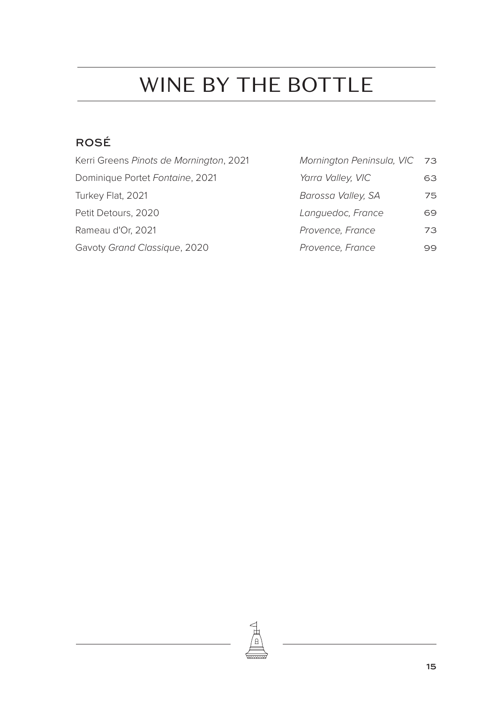### ROSÉ

| Kerri Greens Pinots de Mornington, 2021 | Mornington Peninsula, VIC 73 |    |
|-----------------------------------------|------------------------------|----|
| Dominique Portet Fontaine, 2021         | Yarra Valley, VIC            | 63 |
| Turkey Flat, 2021                       | Barossa Valley, SA           | 75 |
| Petit Detours, 2020                     | Languedoc, France            | 69 |
| Rameau d'Or, 2021                       | Provence, France             | 73 |
| Gavoty Grand Classique, 2020            | Provence, France             | 99 |

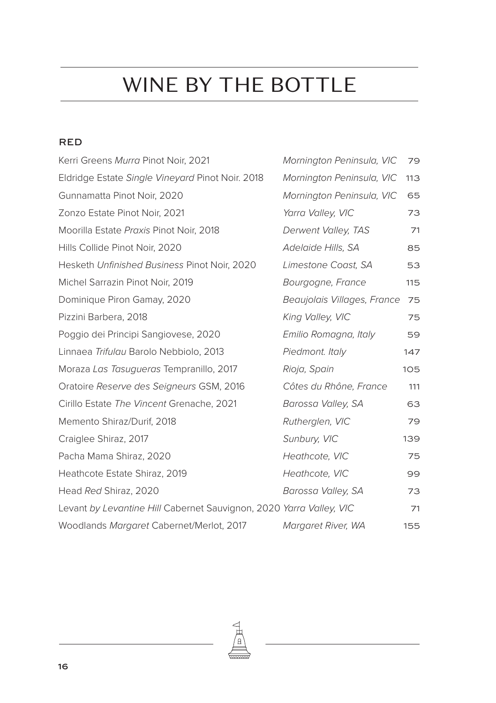#### RED

| Kerri Greens Murra Pinot Noir, 2021                                 | Mornington Peninsula, VIC   | 79  |
|---------------------------------------------------------------------|-----------------------------|-----|
| Eldridge Estate Single Vineyard Pinot Noir. 2018                    | Mornington Peninsula, VIC   | 113 |
| Gunnamatta Pinot Noir, 2020                                         | Mornington Peninsula, VIC   | 65  |
| Zonzo Estate Pinot Noir, 2021                                       | Yarra Valley, VIC           | 73  |
| Moorilla Estate Praxis Pinot Noir, 2018                             | Derwent Valley, TAS         | 71  |
| Hills Collide Pinot Noir, 2020                                      | Adelaide Hills, SA          | 85  |
| Hesketh Unfinished Business Pinot Noir, 2020                        | Limestone Coast, SA         | 53  |
| Michel Sarrazin Pinot Noir, 2019                                    | Bourgogne, France           | 115 |
| Dominique Piron Gamay, 2020                                         | Beaujolais Villages, France | 75  |
| Pizzini Barbera, 2018                                               | King Valley, VIC            | 75  |
| Poggio dei Principi Sangiovese, 2020                                | Emilio Romagna, Italy       | 59  |
| Linnaea Trifulgu Barolo Nebbiolo, 2013                              | Piedmont. Italy             | 147 |
| Moraza Las Tasugueras Tempranillo, 2017                             | Rioja, Spain                | 105 |
| Oratoire Reserve des Seigneurs GSM, 2016                            | Côtes du Rhône, France      | 111 |
| Cirillo Estate The Vincent Grenache, 2021                           | Barossa Valley, SA          | 63  |
| Memento Shiraz/Durif, 2018                                          | Rutherglen, VIC             | 79  |
| Craiglee Shiraz, 2017                                               | Sunbury, VIC                | 139 |
| Pacha Mama Shiraz, 2020                                             | Heathcote, VIC              | 75  |
| Heathcote Estate Shiraz, 2019                                       | Heathcote, VIC              | 99  |
| Head Red Shiraz, 2020                                               | Barossa Valley, SA          | 73  |
| Levant by Levantine Hill Cabernet Sauvignon, 2020 Yarra Valley, VIC |                             | 71  |
| Woodlands Margaret Cabernet/Merlot, 2017                            | Margaret River, WA          | 155 |

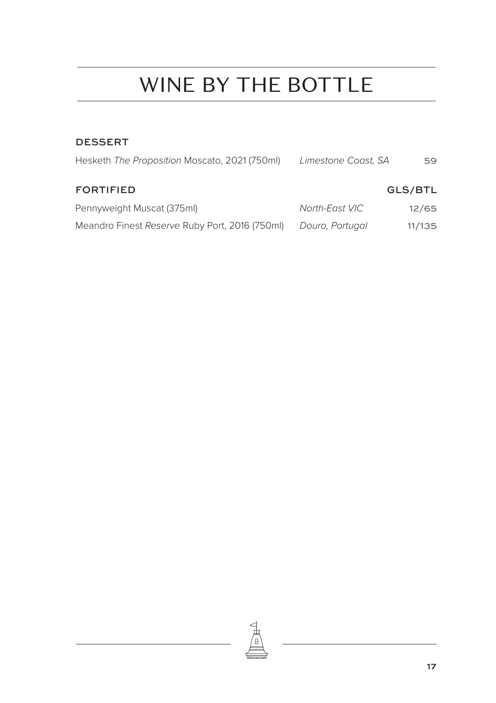#### DESSERT

| Hesketh The Proposition Moscato, 2021 (750ml)  | Limestone Coast, SA | 59      |
|------------------------------------------------|---------------------|---------|
| <b>FORTIFIED</b>                               |                     | GLS/BTL |
| Pennyweight Muscat (375ml)                     | North-East VIC      | 12/65   |
| Meandro Finest Reserve Ruby Port, 2016 (750ml) | Douro, Portugal     | 11/135  |

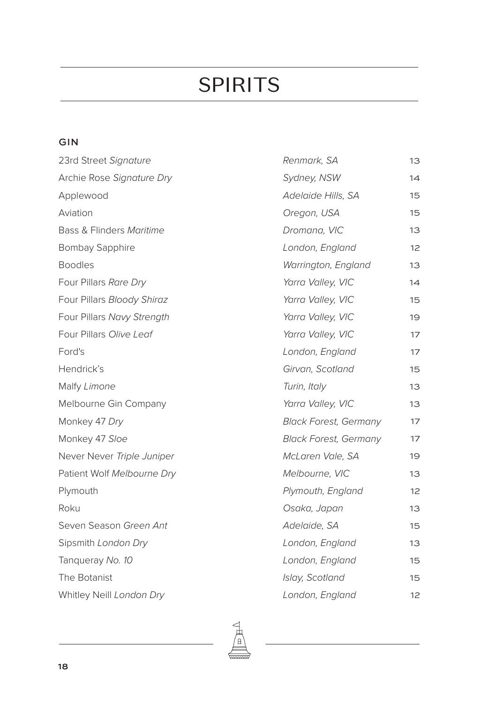#### GIN

| 23rd Street Signature      | Renmark, SA                  | 13 |
|----------------------------|------------------------------|----|
| Archie Rose Signature Dry  | Sydney, NSW                  | 14 |
| Applewood                  | Adelaide Hills, SA           | 15 |
| Aviation                   | Oregon, USA                  | 15 |
| Bass & Flinders Maritime   | Dromana, VIC                 | 13 |
| <b>Bombay Sapphire</b>     | London, England              | 12 |
| <b>Boodles</b>             | Warrington, England          | 13 |
| Four Pillars Rare Dry      | Yarra Valley, VIC            | 14 |
| Four Pillars Bloody Shiraz | Yarra Valley, VIC            | 15 |
| Four Pillars Navy Strength | Yarra Valley, VIC            | 19 |
| Four Pillars Olive Leaf    | Yarra Valley, VIC            | 17 |
| Ford's                     | London, England              | 17 |
| Hendrick's                 | Girvan, Scotland             | 15 |
| Malfy Limone               | Turin, Italy                 | 13 |
| Melbourne Gin Company      | Yarra Valley, VIC            | 13 |
| Monkey 47 Dry              | <b>Black Forest, Germany</b> | 17 |
| Monkey 47 Sloe             | <b>Black Forest, Germany</b> | 17 |
| Never Never Triple Juniper | McLaren Vale, SA             | 19 |
| Patient Wolf Melbourne Dry | Melbourne, VIC               | 13 |
| Plymouth                   | Plymouth, England            | 12 |
| Roku                       | Osaka, Japan                 | 13 |
| Seven Season Green Ant     | Adelaide, SA                 | 15 |
| Sipsmith London Dry        | London, England              | 13 |
| Tangueray No. 10           | London, England              | 15 |
| The Botanist               | Islay, Scotland              | 15 |
| Whitley Neill London Dry   | London, England              | 12 |

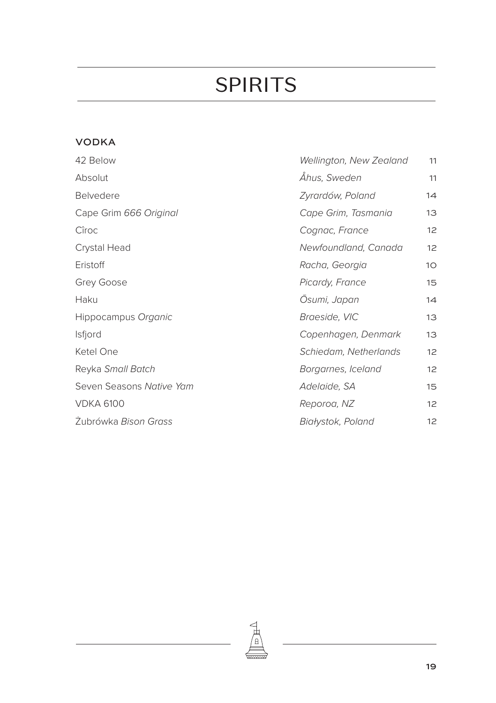### VODKA

| 42 Below                 | Wellington, New Zealand | 11              |
|--------------------------|-------------------------|-----------------|
| Absolut                  | Åhus, Sweden            | 11              |
| <b>Belvedere</b>         | Zyrardów, Poland        | 14              |
| Cape Grim 666 Original   | Cape Grim, Tasmania     | 13              |
| Cîroc                    | Cognac, France          | 12 <sup>2</sup> |
| Crystal Head             | Newfoundland, Canada    | 12              |
| Eristoff                 | Racha, Georgia          | 10 <sup>°</sup> |
| Grey Goose               | Picardy, France         | 15              |
| Haku                     | Osumi, Japan            | 14              |
| Hippocampus Organic      | Braeside, VIC           | 13              |
| <b>Isfjord</b>           | Copenhagen, Denmark     | 13              |
| Ketel One                | Schiedam, Netherlands   | 12 <sup>°</sup> |
| Reyka Small Batch        | Borgarnes, Iceland      | 12 <sup>2</sup> |
| Seven Seasons Native Yam | Adelaide, SA            | 15              |
| <b>VDKA 6100</b>         | Reporoa, NZ             | 12 <sup>2</sup> |
| Zubrówka Bison Grass     | Białystok, Poland       | 12              |

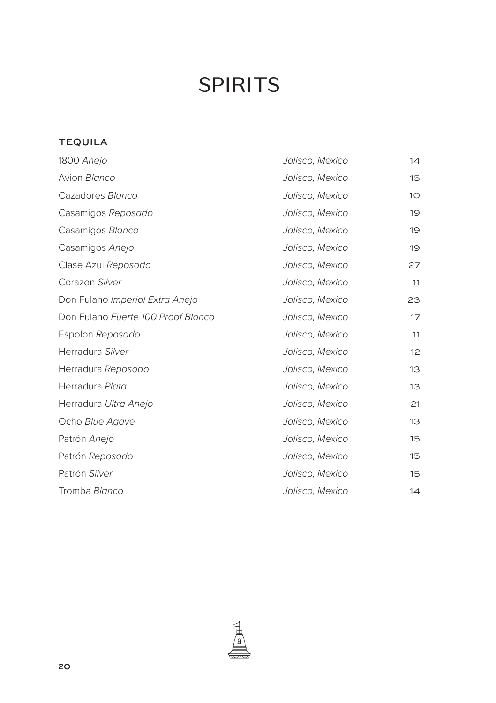### TEQUILA

| 1800 Anejo                         | Jalisco, Mexico | 14              |
|------------------------------------|-----------------|-----------------|
| Avion Blanco                       | Jalisco, Mexico | 15              |
| Cazadores Blanco                   | Jalisco, Mexico | 10 <sup>°</sup> |
| Casamigos Reposado                 | Jalisco, Mexico | 19              |
| Casamigos Blanco                   | Jalisco, Mexico | 19              |
| Casamigos Anejo                    | Jalisco, Mexico | 19              |
| Clase Azul Reposado                | Jalisco, Mexico | 27              |
| Corazon Silver                     | Jalisco, Mexico | 11              |
| Don Fulano Imperial Extra Anejo    | Jalisco, Mexico | 23              |
| Don Fulano Fuerte 100 Proof Blanco | Jalisco, Mexico | 17              |
| Espolon Reposado                   | Jalisco, Mexico | 11              |
| Herradura Silver                   | Jalisco, Mexico | 12              |
| Herradura Reposado                 | Jalisco, Mexico | 13              |
| Herradura Plata                    | Jalisco, Mexico | 13              |
| Herradura Ultra Anejo              | Jalisco, Mexico | 21              |
| Ocho Blue Agave                    | Jalisco, Mexico | 13              |
| Patrón Anejo                       | Jalisco, Mexico | 15              |
| Patrón Reposado                    | Jalisco, Mexico | 15              |
| Patrón Silver                      | Jalisco, Mexico | 15              |
| Tromba Blanco                      | Jalisco, Mexico | 14              |
|                                    |                 |                 |

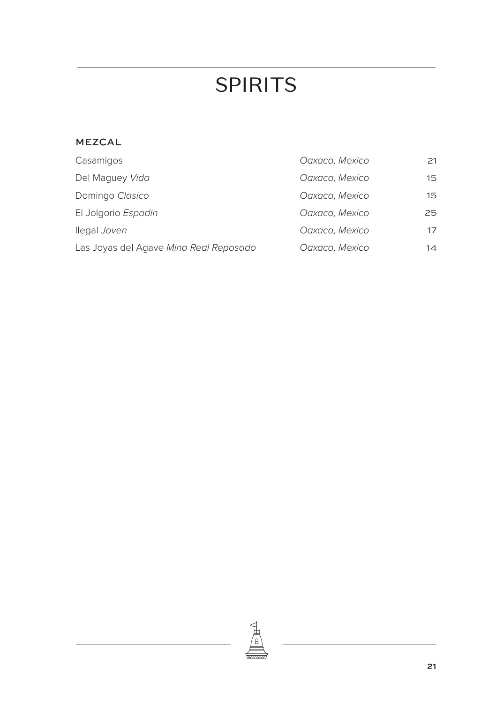#### MEZCAL

| Casamigos                              | Oaxaca, Mexico | 21 |
|----------------------------------------|----------------|----|
| Del Maguey Vida                        | Oaxaca, Mexico | 15 |
| Domingo Clasico                        | Oaxaca, Mexico | 15 |
| El Jolgorio Espadin                    | Oaxaca, Mexico | 25 |
| llegal Joven                           | Oaxaca, Mexico | 17 |
| Las Joyas del Agave Ming Real Reposado | Oaxaca, Mexico | 14 |

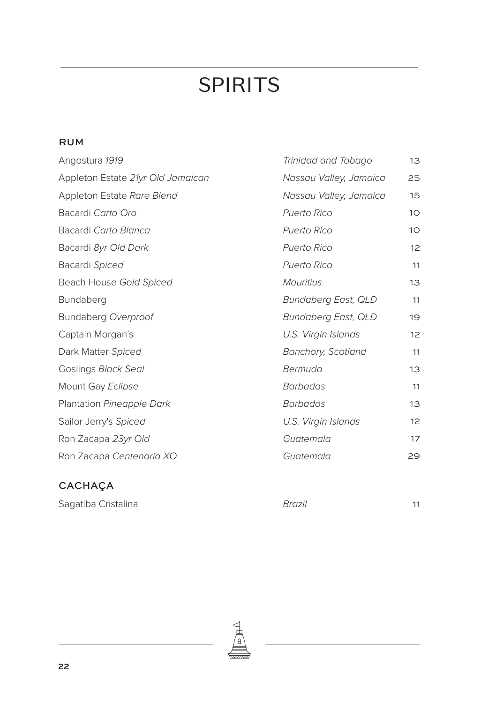#### RUM

| Angostura 1919                    | Trinidad and Tobago       | 13              |
|-----------------------------------|---------------------------|-----------------|
| Appleton Estate 21yr Old Jamaican | Nassau Valley, Jamaica    | 25              |
| Appleton Estate Rare Blend        | Nassau Valley, Jamaica    | 15              |
| Bacardi Carta Oro                 | Puerto Rico               | 10 <sup>°</sup> |
| Bacardi Carta Blanca              | <b>Puerto Rico</b>        | 10 <sup>°</sup> |
| Bacardi 8yr Old Dark              | <b>Puerto Rico</b>        | 12              |
| Bacardi Spiced                    | <b>Puerto Rico</b>        | 11              |
| Beach House Gold Spiced           | <b>Mauritius</b>          | 13              |
| Bundaberg                         | Bundaberg East, QLD       | 11              |
| Bundaberg Overproof               | Bundaberg East, QLD       | 19              |
| Captain Morgan's                  | U.S. Virgin Islands       | 12              |
| Dark Matter Spiced                | <b>Banchory, Scotland</b> | 11              |
| Goslings Black Seal               | Bermuda                   | 13              |
| Mount Gay Eclipse                 | <b>Barbados</b>           | 11              |
| Plantation Pineapple Dark         | <b>Barbados</b>           | 13              |
| Sailor Jerry's Spiced             | U.S. Virgin Islands       | 12              |
| Ron Zacapa 23yr Old               | Guatemala                 | 17              |
| Ron Zacapa Centenario XO          | Guatemala                 | 29              |

### CACHAÇA

Sagatiba Cristalina *Brazil* 11

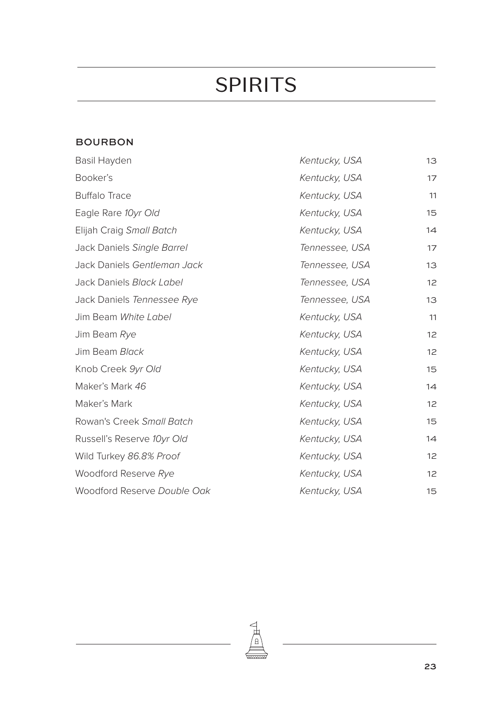#### BOURBON

| Basil Hayden                | Kentucky, USA  | 13              |
|-----------------------------|----------------|-----------------|
| Booker's                    | Kentucky, USA  | 17              |
| <b>Buffalo Trace</b>        | Kentucky, USA  | 11              |
| Eagle Rare 10yr Old         | Kentucky, USA  | 15              |
| Elijah Craig Small Batch    | Kentucky, USA  | 14              |
| Jack Daniels Single Barrel  | Tennessee, USA | 17              |
| Jack Daniels Gentleman Jack | Tennessee, USA | 13              |
| Jack Daniels Black Label    | Tennessee, USA | 12 <sup>2</sup> |
| Jack Daniels Tennessee Rye  | Tennessee, USA | 13              |
| Jim Beam White Label        | Kentucky, USA  | 11              |
| Jim Beam Rye                | Kentucky, USA  | 12              |
| Jim Beam Black              | Kentucky, USA  | 12              |
| Knob Creek 9yr Old          | Kentucky, USA  | 15              |
| Maker's Mark 46             | Kentucky, USA  | 14              |
| Maker's Mark                | Kentucky, USA  | 12              |
| Rowan's Creek Small Batch   | Kentucky, USA  | 15              |
| Russell's Reserve 10yr Old  | Kentucky, USA  | 14              |
| Wild Turkey 86.8% Proof     | Kentucky, USA  | 12              |
| Woodford Reserve Rye        | Kentucky, USA  | 12              |
| Woodford Reserve Double Oak | Kentucky, USA  | 15              |

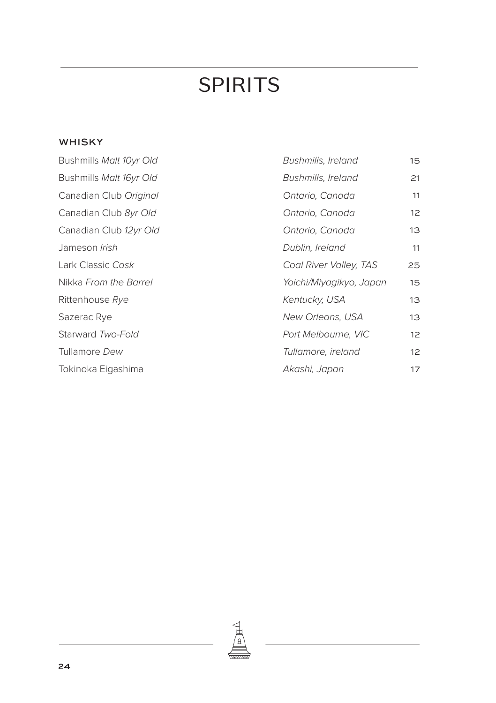#### WHISKY

| Bushmills Malt 10yr Old | <b>Bushmills, Ireland</b> | 15 <sub>1</sub> |
|-------------------------|---------------------------|-----------------|
| Bushmills Malt 16yr Old | <b>Bushmills, Ireland</b> | 21              |
| Canadian Club Original  | Ontario, Canada           | 11              |
| Canadian Club 8yr Old   | Ontario, Canada           | 12 <sup>2</sup> |
| Canadian Club 12yr Old  | Ontario, Canada           | 13              |
| Jameson <i>Irish</i>    | Dublin, Ireland           | 11              |
| Lark Classic Cask       | Coal River Valley, TAS    | 25              |
| Nikka From the Barrel   | Yoichi/Miyagikyo, Japan   | 15              |
| Rittenhouse Rye         | Kentucky, USA             | 13              |
| Sazerac Rye             | New Orleans, USA          | 13              |
| Starward Two-Fold       | Port Melbourne, VIC       | 12 <sup>2</sup> |
| Tullamore Dew           | Tullamore, ireland        | 12 <sup>2</sup> |
| Tokinoka Eigashima      | Akashi, Japan             | 17              |

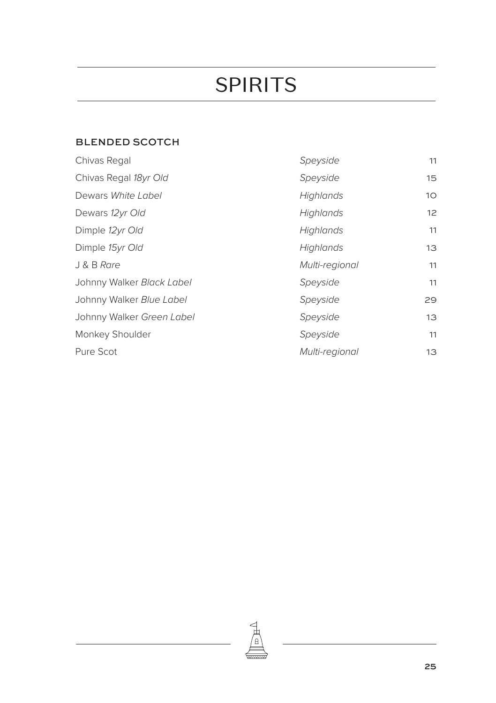#### BLENDED SCOTCH

| Chivas Regal              | Speyside       | 11              |
|---------------------------|----------------|-----------------|
| Chivas Regal 18yr Old     | Speyside       | 15              |
| Dewars White Label        | Highlands      | 10 <sup>°</sup> |
| Dewars 12yr Old           | Highlands      | 12 <sup>2</sup> |
| Dimple 12yr Old           | Highlands      | 11              |
| Dimple 15yr Old           | Highlands      | 13              |
| J & B Rare                | Multi-regional | 11              |
| Johnny Walker Black Label | Speyside       | 11              |
| Johnny Walker Blue Label  | Speyside       | 29              |
| Johnny Walker Green Label | Speyside       | 13              |
| Monkey Shoulder           | Speyside       | 11              |
| Pure Scot                 | Multi-regional | 13              |

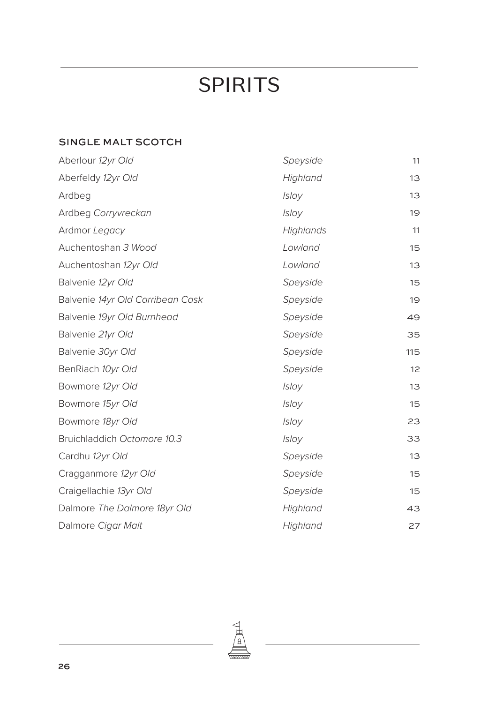### SINGLE MALT SCOTCH

| Aberlour 12yr Old                | Speyside     | 11  |
|----------------------------------|--------------|-----|
| Aberfeldy 12yr Old               | Highland     | 13  |
| Ardbeg                           | <b>Islay</b> | 13  |
| Ardbeg Corryvreckan              | <b>Islay</b> | 19  |
| Ardmor Legacy                    | Highlands    | 11  |
| Auchentoshan 3 Wood              | Lowland      | 15  |
| Auchentoshan 12yr Old            | Lowland      | 13  |
| Balvenie 12yr Old                | Speyside     | 15  |
| Balvenie 14yr Old Carribean Cask | Speyside     | 19  |
| Balvenie 19yr Old Burnhead       | Speyside     | 49  |
| Balvenie 21yr Old                | Speyside     | 35  |
| Balvenie 30yr Old                | Speyside     | 115 |
| BenRiach 10yr Old                | Speyside     | 12  |
| Bowmore 12yr Old                 | <b>Islay</b> | 13  |
| Bowmore 15yr Old                 | <b>Islay</b> | 15  |
| Bowmore 18yr Old                 | <b>Islav</b> | 23  |
| Bruichladdich Octomore 10.3      | <b>Islav</b> | 33  |
| Cardhu 12yr Old                  | Speyside     | 13  |
| Cragganmore 12yr Old             | Speyside     | 15  |
| Craigellachie 13yr Old           | Speyside     | 15  |
| Dalmore The Dalmore 18yr Old     | Highland     | 43  |
| Dalmore Cigar Malt               | Highland     | 27  |

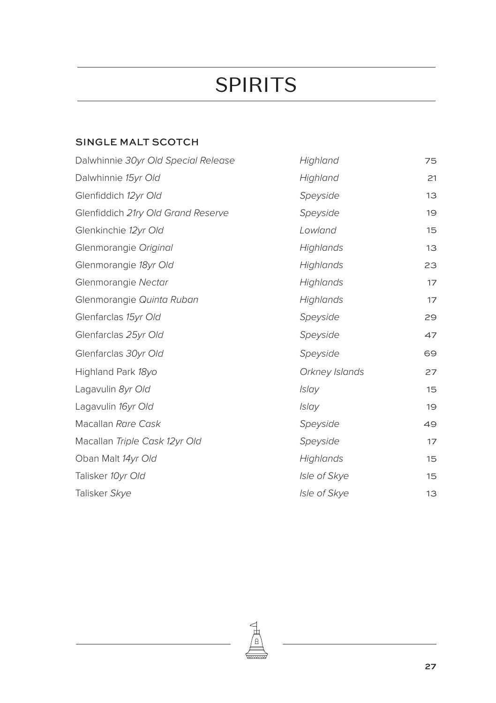#### SINGLE MALT SCOTCH

| Dalwhinnie 30yr Old Special Release | Highland       | 75 |
|-------------------------------------|----------------|----|
| Dalwhinnie 15yr Old                 | Highland       | 21 |
| Glenfiddich 12yr Old                | Speyside       | 13 |
| Glenfiddich 21ry Old Grand Reserve  | Speyside       | 19 |
| Glenkinchie 12yr Old                | Lowland        | 15 |
| Glenmorangie Original               | Highlands      | 13 |
| Glenmorangie 18yr Old               | Highlands      | 23 |
| Glenmorangie Nectar                 | Highlands      | 17 |
| Glenmorangie Quinta Ruban           | Highlands      | 17 |
| Glenfarclas 15yr Old                | Speyside       | 29 |
| Glenfarclas 25yr Old                | Speyside       | 47 |
| Glenfarclas 30yr Old                | Speyside       | 69 |
| Highland Park 18yo                  | Orkney Islands | 27 |
| Lagavulin 8yr Old                   | Islay          | 15 |
| Lagavulin 16yr Old                  | <b>Islay</b>   | 19 |
| Macallan Rare Cask                  | Speyside       | 49 |
| Macallan Triple Cask 12yr Old       | Speyside       | 17 |
| Oban Malt 14yr Old                  | Highlands      | 15 |
| Talisker 10yr Old                   | Isle of Skye   | 15 |
| Talisker Skye                       | Isle of Skye   | 13 |
|                                     |                |    |

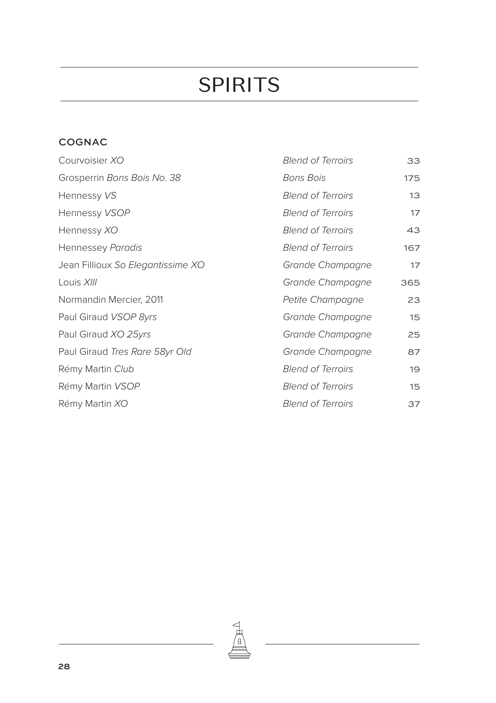### COGNAC

| Courvoisier XO                    | <b>Blend of Terroirs</b> | 33  |
|-----------------------------------|--------------------------|-----|
| Grosperrin Bons Bois No. 38       | Bons Bois                | 175 |
| Hennessy VS                       | <b>Blend of Terroirs</b> | 13  |
| Hennessy VSOP                     | <b>Blend of Terroirs</b> | 17  |
| Hennessy XO                       | <b>Blend of Terroirs</b> | 43  |
| Hennessey Paradis                 | <b>Blend of Terroirs</b> | 167 |
| Jean Fillioux So Elegantissime XO | Grande Champagne         | 17  |
| Louis XIII                        | Grande Champagne         | 365 |
| Normandin Mercier, 2011           | Petite Champagne         | 23  |
| Paul Giraud VSOP 8yrs             | Grande Champagne         | 15  |
| Paul Giraud XO 25yrs              | Grande Champagne         | 25  |
| Paul Giraud Tres Rare 58yr Old    | Grande Champagne         | 87  |
| Rémy Martin Club                  | <b>Blend of Terroirs</b> | 19  |
| Rémy Martin VSOP                  | <b>Blend of Terroirs</b> | 15  |
| Rémy Martin XO                    | <b>Blend of Terroirs</b> | 37  |

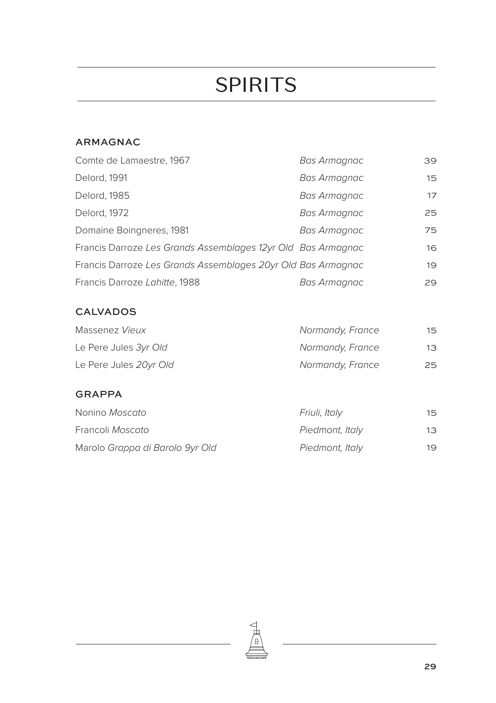#### ARMAGNAC

| Comte de Lamaestre, 1967                                     | Bas Armagnac | 39 |
|--------------------------------------------------------------|--------------|----|
| Delord, 1991                                                 | Bas Armagnac | 15 |
| Delord, 1985                                                 | Bas Armagnac | 17 |
| Delord, 1972                                                 | Bas Armagnac | 25 |
| Domaine Boingneres, 1981                                     | Bas Armagnac | 75 |
| Francis Darroze Les Grands Assemblages 12yr Old Bas Armagnac |              | 16 |
| Francis Darroze Les Grands Assemblages 20yr Old Bas Armagnac |              | 19 |
| Francis Darroze Lahitte, 1988                                | Bas Armagnac | 29 |

#### CALVADOS

| Massenez Vieux         | Normandy, France | 15 |
|------------------------|------------------|----|
| Le Pere Jules 3yr Old  | Normandy, France | 13 |
| Le Pere Jules 20yr Old | Normandy, France | 25 |

#### GRAPPA

| Nonino Moscato                  | Friuli, Italy   | 15. |
|---------------------------------|-----------------|-----|
| Francoli Moscato                | Piedmont, Italy | 13  |
| Marolo Grappa di Barolo 9yr Old | Piedmont, Italy | 19  |